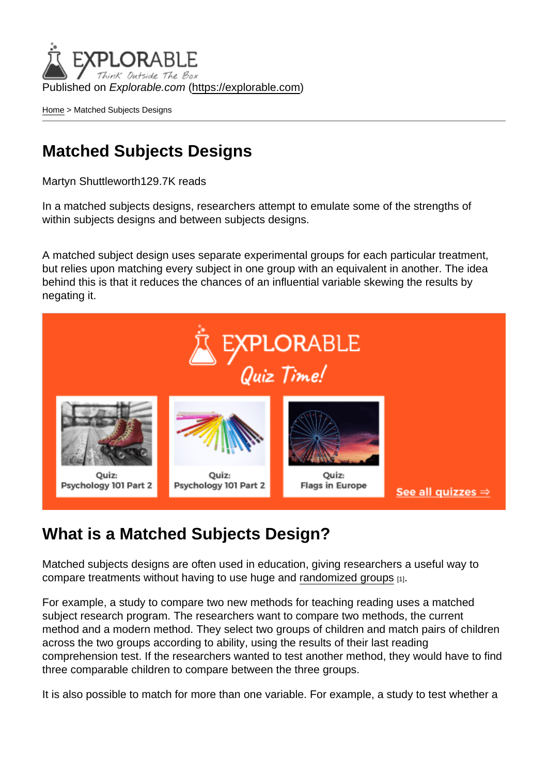Published on Explorable.com (<https://explorable.com>)

[Home](https://explorable.com/) > Matched Subjects Designs

## Matched Subjects Designs

Martyn Shuttleworth129.7K reads

In a matched subjects designs, researchers attempt to emulate some of the strengths of within subjects designs and between subjects designs.

A matched subject design uses separate experimental groups for each particular treatment, but relies upon matching every subject in one group with an equivalent in another. The idea behind this is that it reduces the chances of an influential variable skewing the results by negating it.

## What is a Matched Subjects Design?

Matched subjects designs are often used in education, giving researchers a useful way to compare treatments without having to use huge and [randomized groups](https://explorable.com/probability-sampling) [1].

For example, a study to compare two new methods for teaching reading uses a matched subject research program. The researchers want to compare two methods, the current method and a modern method. They select two groups of children and match pairs of children across the two groups according to ability, using the results of their last reading comprehension test. If the researchers wanted to test another method, they would have to find three comparable children to compare between the three groups.

It is also possible to match for more than one variable. For example, a study to test whether a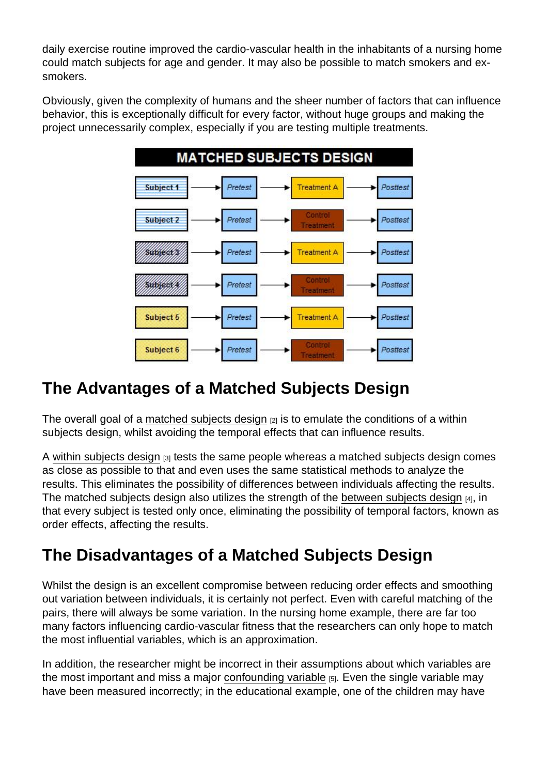daily exercise routine improved the cardio-vascular health in the inhabitants of a nursing home could match subjects for age and gender. It may also be possible to match smokers and exsmokers.

Obviously, given the complexity of humans and the sheer number of factors that can influence behavior, this is exceptionally difficult for every factor, without huge groups and making the project unnecessarily complex, especially if you are testing multiple treatments.

## The Advantages of a Matched Subjects Design

The overall goal of a [matched subjects design](http://www.ablongman.com/graziano6e/text_site/MATERIAL/sg/sg11su.htm)  $[2]$  is to emulate the conditions of a within subjects design, whilst avoiding the temporal effects that can influence results.

A [within subjects design](https://explorable.com/within-subject-design) [3] tests the same people whereas a matched subjects design comes as close as possible to that and even uses the same statistical methods to analyze the results. This eliminates the possibility of differences between individuals affecting the results. The matched subjects design also utilizes the strength of the [between subjects design](https://explorable.com/between-subjects-design) [4], in that every subject is tested only once, eliminating the possibility of temporal factors, known as order effects, affecting the results.

## The Disadvantages of a Matched Subjects Design

Whilst the design is an excellent compromise between reducing order effects and smoothing out variation between individuals, it is certainly not perfect. Even with careful matching of the pairs, there will always be some variation. In the nursing home example, there are far too many factors influencing cardio-vascular fitness that the researchers can only hope to match the most influential variables, which is an approximation.

In addition, the researcher might be incorrect in their assumptions about which variables are the most important and miss a major [confounding variable](https://explorable.com/confounding-variables)  $[5]$ . Even the single variable may have been measured incorrectly; in the educational example, one of the children may have